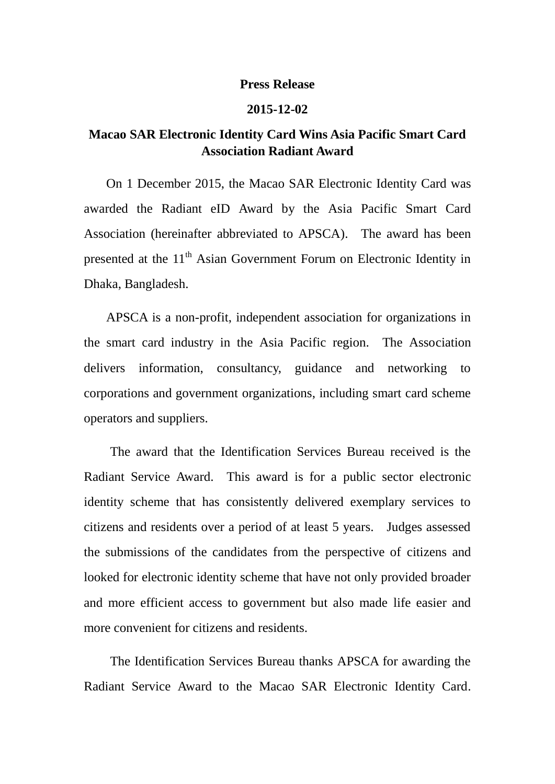## **Press Release**

## **2015-12-02**

## **Macao SAR Electronic Identity Card Wins Asia Pacific Smart Card Association Radiant Award**

 On 1 December 2015, the Macao SAR Electronic Identity Card was awarded the Radiant eID Award by the Asia Pacific Smart Card Association (hereinafter abbreviated to APSCA). The award has been presented at the 11<sup>th</sup> Asian Government Forum on Electronic Identity in Dhaka, Bangladesh.

APSCA is a non-profit, independent association for organizations in the smart card industry in the Asia Pacific region. The Association delivers information, consultancy, guidance and networking to corporations and government organizations, including smart card scheme operators and suppliers.

 The award that the Identification Services Bureau received is the Radiant Service Award. This award is for a public sector electronic identity scheme that has consistently delivered exemplary services to citizens and residents over a period of at least 5 years. Judges assessed the submissions of the candidates from the perspective of citizens and looked for electronic identity scheme that have not only provided broader and more efficient access to government but also made life easier and more convenient for citizens and residents.

 The Identification Services Bureau thanks APSCA for awarding the Radiant Service Award to the Macao SAR Electronic Identity Card.